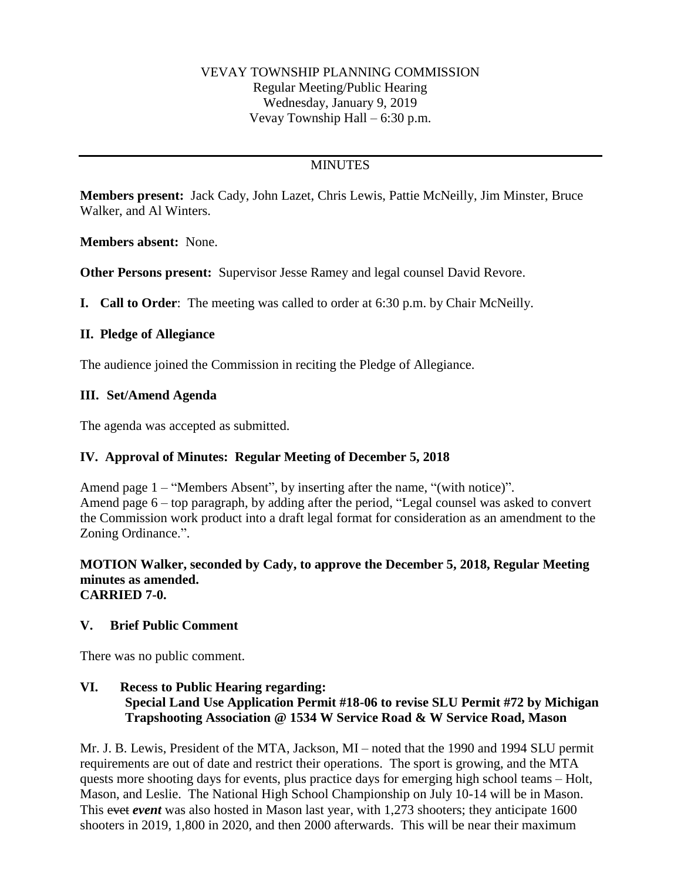### VEVAY TOWNSHIP PLANNING COMMISSION Regular Meeting/Public Hearing Wednesday, January 9, 2019 Vevay Township Hall – 6:30 p.m.

# **MINUTES**

**Members present:** Jack Cady, John Lazet, Chris Lewis, Pattie McNeilly, Jim Minster, Bruce Walker, and Al Winters.

**Members absent:** None.

**Other Persons present:** Supervisor Jesse Ramey and legal counsel David Revore.

**I. Call to Order**: The meeting was called to order at 6:30 p.m. by Chair McNeilly.

#### **II. Pledge of Allegiance**

The audience joined the Commission in reciting the Pledge of Allegiance.

#### **III. Set/Amend Agenda**

The agenda was accepted as submitted.

#### **IV. Approval of Minutes: Regular Meeting of December 5, 2018**

Amend page 1 – "Members Absent", by inserting after the name, "(with notice)". Amend page 6 – top paragraph, by adding after the period, "Legal counsel was asked to convert the Commission work product into a draft legal format for consideration as an amendment to the Zoning Ordinance.".

#### **MOTION Walker, seconded by Cady, to approve the December 5, 2018, Regular Meeting minutes as amended. CARRIED 7-0.**

#### **V. Brief Public Comment**

There was no public comment.

### **VI. Recess to Public Hearing regarding: Special Land Use Application Permit #18-06 to revise SLU Permit #72 by Michigan Trapshooting Association @ 1534 W Service Road & W Service Road, Mason**

Mr. J. B. Lewis, President of the MTA, Jackson, MI – noted that the 1990 and 1994 SLU permit requirements are out of date and restrict their operations. The sport is growing, and the MTA quests more shooting days for events, plus practice days for emerging high school teams – Holt, Mason, and Leslie. The National High School Championship on July 10-14 will be in Mason. This evet *event* was also hosted in Mason last year, with 1,273 shooters; they anticipate 1600 shooters in 2019, 1,800 in 2020, and then 2000 afterwards. This will be near their maximum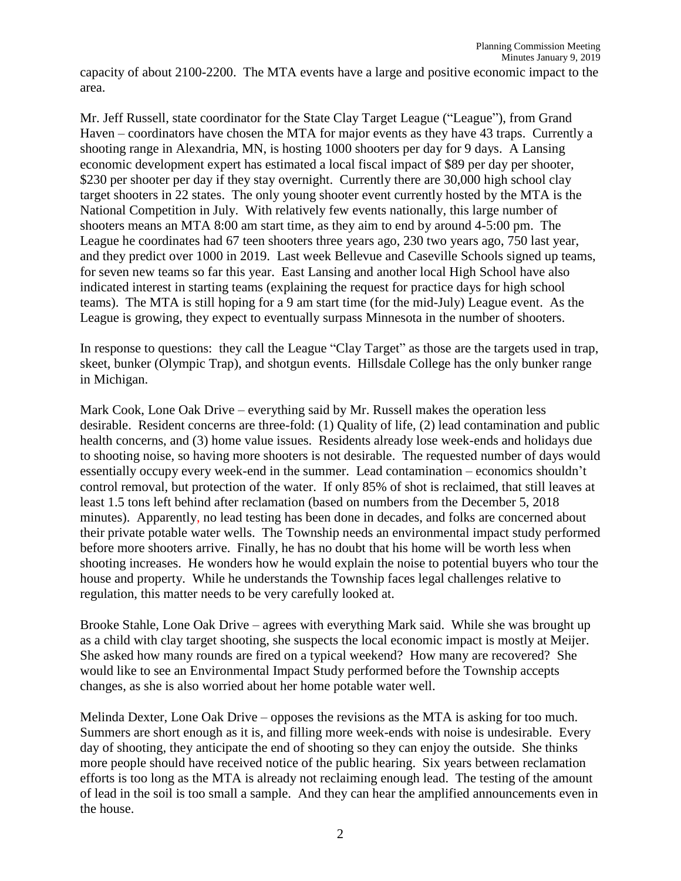capacity of about 2100-2200. The MTA events have a large and positive economic impact to the area.

Mr. Jeff Russell, state coordinator for the State Clay Target League ("League"), from Grand Haven – coordinators have chosen the MTA for major events as they have 43 traps. Currently a shooting range in Alexandria, MN, is hosting 1000 shooters per day for 9 days. A Lansing economic development expert has estimated a local fiscal impact of \$89 per day per shooter, \$230 per shooter per day if they stay overnight. Currently there are 30,000 high school clay target shooters in 22 states. The only young shooter event currently hosted by the MTA is the National Competition in July. With relatively few events nationally, this large number of shooters means an MTA 8:00 am start time, as they aim to end by around 4-5:00 pm. The League he coordinates had 67 teen shooters three years ago, 230 two years ago, 750 last year, and they predict over 1000 in 2019. Last week Bellevue and Caseville Schools signed up teams, for seven new teams so far this year. East Lansing and another local High School have also indicated interest in starting teams (explaining the request for practice days for high school teams). The MTA is still hoping for a 9 am start time (for the mid-July) League event. As the League is growing, they expect to eventually surpass Minnesota in the number of shooters.

In response to questions: they call the League "Clay Target" as those are the targets used in trap, skeet, bunker (Olympic Trap), and shotgun events. Hillsdale College has the only bunker range in Michigan.

Mark Cook, Lone Oak Drive – everything said by Mr. Russell makes the operation less desirable. Resident concerns are three-fold: (1) Quality of life, (2) lead contamination and public health concerns, and (3) home value issues. Residents already lose week-ends and holidays due to shooting noise, so having more shooters is not desirable. The requested number of days would essentially occupy every week-end in the summer. Lead contamination – economics shouldn't control removal, but protection of the water. If only 85% of shot is reclaimed, that still leaves at least 1.5 tons left behind after reclamation (based on numbers from the December 5, 2018 minutes). Apparently, no lead testing has been done in decades, and folks are concerned about their private potable water wells. The Township needs an environmental impact study performed before more shooters arrive. Finally, he has no doubt that his home will be worth less when shooting increases. He wonders how he would explain the noise to potential buyers who tour the house and property. While he understands the Township faces legal challenges relative to regulation, this matter needs to be very carefully looked at.

Brooke Stahle, Lone Oak Drive – agrees with everything Mark said. While she was brought up as a child with clay target shooting, she suspects the local economic impact is mostly at Meijer. She asked how many rounds are fired on a typical weekend? How many are recovered? She would like to see an Environmental Impact Study performed before the Township accepts changes, as she is also worried about her home potable water well.

Melinda Dexter, Lone Oak Drive – opposes the revisions as the MTA is asking for too much. Summers are short enough as it is, and filling more week-ends with noise is undesirable. Every day of shooting, they anticipate the end of shooting so they can enjoy the outside. She thinks more people should have received notice of the public hearing. Six years between reclamation efforts is too long as the MTA is already not reclaiming enough lead. The testing of the amount of lead in the soil is too small a sample. And they can hear the amplified announcements even in the house.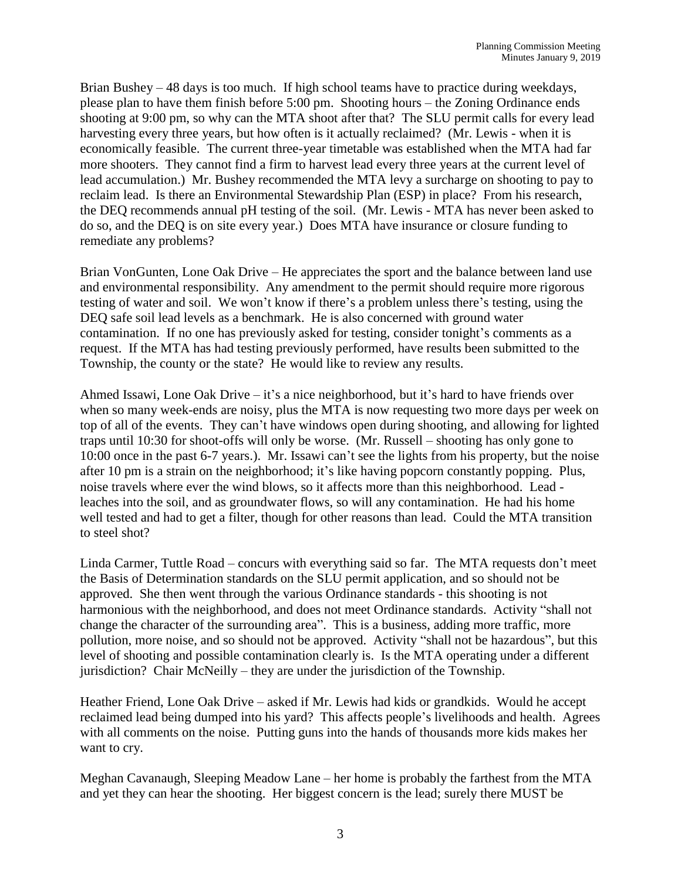Brian Bushey – 48 days is too much. If high school teams have to practice during weekdays, please plan to have them finish before 5:00 pm. Shooting hours – the Zoning Ordinance ends shooting at 9:00 pm, so why can the MTA shoot after that? The SLU permit calls for every lead harvesting every three years, but how often is it actually reclaimed? (Mr. Lewis - when it is economically feasible. The current three-year timetable was established when the MTA had far more shooters. They cannot find a firm to harvest lead every three years at the current level of lead accumulation.) Mr. Bushey recommended the MTA levy a surcharge on shooting to pay to reclaim lead. Is there an Environmental Stewardship Plan (ESP) in place? From his research, the DEQ recommends annual pH testing of the soil. (Mr. Lewis - MTA has never been asked to do so, and the DEQ is on site every year.) Does MTA have insurance or closure funding to remediate any problems?

Brian VonGunten, Lone Oak Drive – He appreciates the sport and the balance between land use and environmental responsibility. Any amendment to the permit should require more rigorous testing of water and soil. We won't know if there's a problem unless there's testing, using the DEQ safe soil lead levels as a benchmark. He is also concerned with ground water contamination. If no one has previously asked for testing, consider tonight's comments as a request. If the MTA has had testing previously performed, have results been submitted to the Township, the county or the state? He would like to review any results.

Ahmed Issawi, Lone Oak Drive – it's a nice neighborhood, but it's hard to have friends over when so many week-ends are noisy, plus the MTA is now requesting two more days per week on top of all of the events. They can't have windows open during shooting, and allowing for lighted traps until 10:30 for shoot-offs will only be worse. (Mr. Russell – shooting has only gone to 10:00 once in the past 6-7 years.). Mr. Issawi can't see the lights from his property, but the noise after 10 pm is a strain on the neighborhood; it's like having popcorn constantly popping. Plus, noise travels where ever the wind blows, so it affects more than this neighborhood. Lead leaches into the soil, and as groundwater flows, so will any contamination. He had his home well tested and had to get a filter, though for other reasons than lead. Could the MTA transition to steel shot?

Linda Carmer, Tuttle Road – concurs with everything said so far. The MTA requests don't meet the Basis of Determination standards on the SLU permit application, and so should not be approved. She then went through the various Ordinance standards - this shooting is not harmonious with the neighborhood, and does not meet Ordinance standards. Activity "shall not change the character of the surrounding area". This is a business, adding more traffic, more pollution, more noise, and so should not be approved. Activity "shall not be hazardous", but this level of shooting and possible contamination clearly is. Is the MTA operating under a different jurisdiction? Chair McNeilly – they are under the jurisdiction of the Township.

Heather Friend, Lone Oak Drive – asked if Mr. Lewis had kids or grandkids. Would he accept reclaimed lead being dumped into his yard? This affects people's livelihoods and health. Agrees with all comments on the noise. Putting guns into the hands of thousands more kids makes her want to cry.

Meghan Cavanaugh, Sleeping Meadow Lane – her home is probably the farthest from the MTA and yet they can hear the shooting. Her biggest concern is the lead; surely there MUST be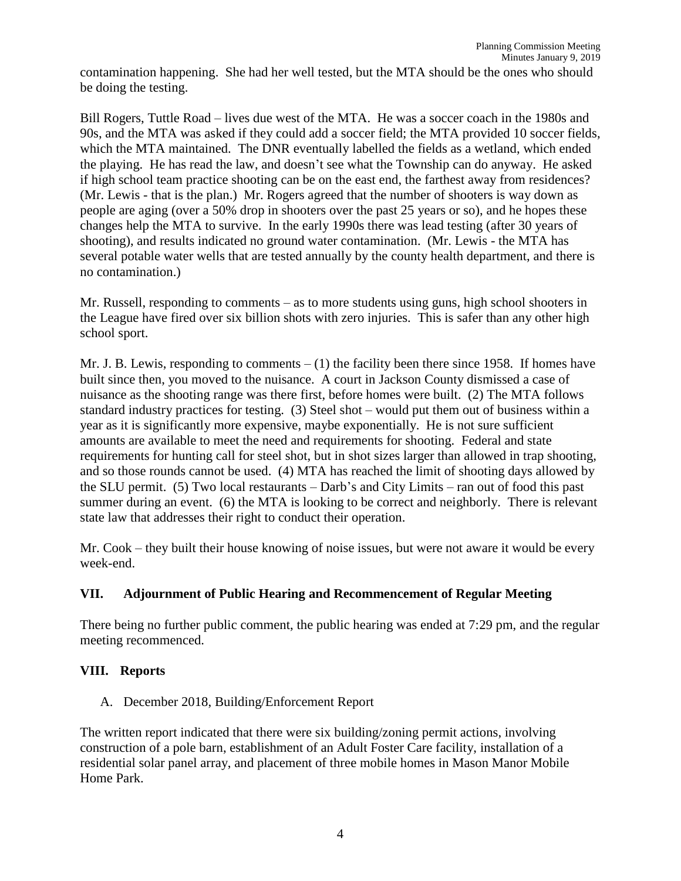contamination happening. She had her well tested, but the MTA should be the ones who should be doing the testing.

Bill Rogers, Tuttle Road – lives due west of the MTA. He was a soccer coach in the 1980s and 90s, and the MTA was asked if they could add a soccer field; the MTA provided 10 soccer fields, which the MTA maintained. The DNR eventually labelled the fields as a wetland, which ended the playing. He has read the law, and doesn't see what the Township can do anyway. He asked if high school team practice shooting can be on the east end, the farthest away from residences? (Mr. Lewis - that is the plan.) Mr. Rogers agreed that the number of shooters is way down as people are aging (over a 50% drop in shooters over the past 25 years or so), and he hopes these changes help the MTA to survive. In the early 1990s there was lead testing (after 30 years of shooting), and results indicated no ground water contamination. (Mr. Lewis - the MTA has several potable water wells that are tested annually by the county health department, and there is no contamination.)

Mr. Russell, responding to comments – as to more students using guns, high school shooters in the League have fired over six billion shots with zero injuries. This is safer than any other high school sport.

Mr. J. B. Lewis, responding to comments  $- (1)$  the facility been there since 1958. If homes have built since then, you moved to the nuisance. A court in Jackson County dismissed a case of nuisance as the shooting range was there first, before homes were built. (2) The MTA follows standard industry practices for testing. (3) Steel shot – would put them out of business within a year as it is significantly more expensive, maybe exponentially. He is not sure sufficient amounts are available to meet the need and requirements for shooting. Federal and state requirements for hunting call for steel shot, but in shot sizes larger than allowed in trap shooting, and so those rounds cannot be used. (4) MTA has reached the limit of shooting days allowed by the SLU permit. (5) Two local restaurants – Darb's and City Limits – ran out of food this past summer during an event. (6) the MTA is looking to be correct and neighborly. There is relevant state law that addresses their right to conduct their operation.

Mr. Cook – they built their house knowing of noise issues, but were not aware it would be every week-end.

## **VII. Adjournment of Public Hearing and Recommencement of Regular Meeting**

There being no further public comment, the public hearing was ended at 7:29 pm, and the regular meeting recommenced.

## **VIII. Reports**

A. December 2018, Building/Enforcement Report

The written report indicated that there were six building/zoning permit actions, involving construction of a pole barn, establishment of an Adult Foster Care facility, installation of a residential solar panel array, and placement of three mobile homes in Mason Manor Mobile Home Park.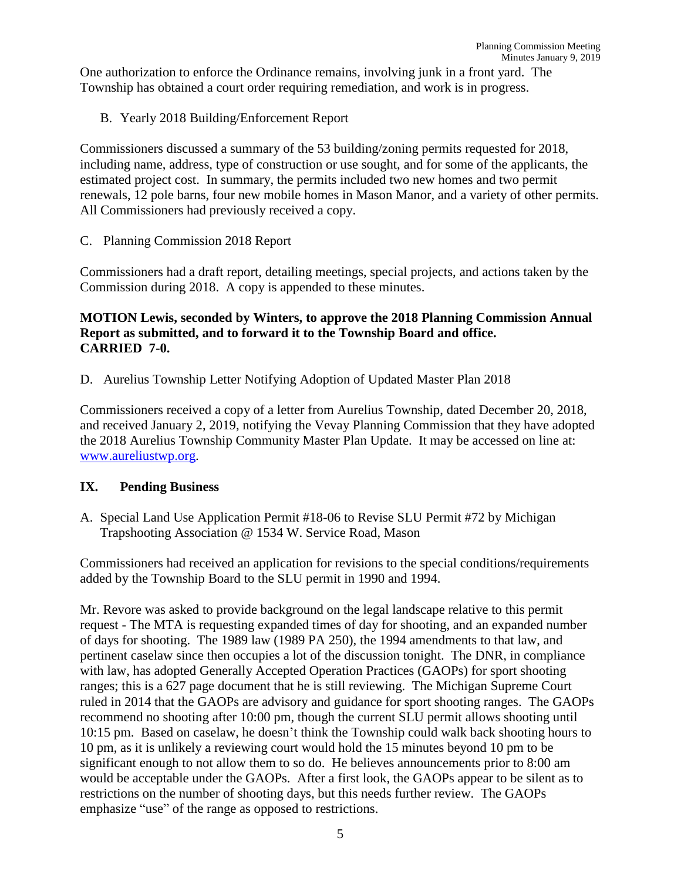One authorization to enforce the Ordinance remains, involving junk in a front yard. The Township has obtained a court order requiring remediation, and work is in progress.

B. Yearly 2018 Building/Enforcement Report

Commissioners discussed a summary of the 53 building/zoning permits requested for 2018, including name, address, type of construction or use sought, and for some of the applicants, the estimated project cost. In summary, the permits included two new homes and two permit renewals, 12 pole barns, four new mobile homes in Mason Manor, and a variety of other permits. All Commissioners had previously received a copy.

C. Planning Commission 2018 Report

Commissioners had a draft report, detailing meetings, special projects, and actions taken by the Commission during 2018. A copy is appended to these minutes.

## **MOTION Lewis, seconded by Winters, to approve the 2018 Planning Commission Annual Report as submitted, and to forward it to the Township Board and office. CARRIED 7-0.**

D. Aurelius Township Letter Notifying Adoption of Updated Master Plan 2018

Commissioners received a copy of a letter from Aurelius Township, dated December 20, 2018, and received January 2, 2019, notifying the Vevay Planning Commission that they have adopted the 2018 Aurelius Township Community Master Plan Update. It may be accessed on line at: [www.aureliustwp.org.](http://www.aureliustwp.org/)

## **IX. Pending Business**

A. Special Land Use Application Permit #18-06 to Revise SLU Permit #72 by Michigan Trapshooting Association @ 1534 W. Service Road, Mason

Commissioners had received an application for revisions to the special conditions/requirements added by the Township Board to the SLU permit in 1990 and 1994.

Mr. Revore was asked to provide background on the legal landscape relative to this permit request - The MTA is requesting expanded times of day for shooting, and an expanded number of days for shooting. The 1989 law (1989 PA 250), the 1994 amendments to that law, and pertinent caselaw since then occupies a lot of the discussion tonight. The DNR, in compliance with law, has adopted Generally Accepted Operation Practices (GAOPs) for sport shooting ranges; this is a 627 page document that he is still reviewing. The Michigan Supreme Court ruled in 2014 that the GAOPs are advisory and guidance for sport shooting ranges. The GAOPs recommend no shooting after 10:00 pm, though the current SLU permit allows shooting until 10:15 pm. Based on caselaw, he doesn't think the Township could walk back shooting hours to 10 pm, as it is unlikely a reviewing court would hold the 15 minutes beyond 10 pm to be significant enough to not allow them to so do. He believes announcements prior to 8:00 am would be acceptable under the GAOPs. After a first look, the GAOPs appear to be silent as to restrictions on the number of shooting days, but this needs further review. The GAOPs emphasize "use" of the range as opposed to restrictions.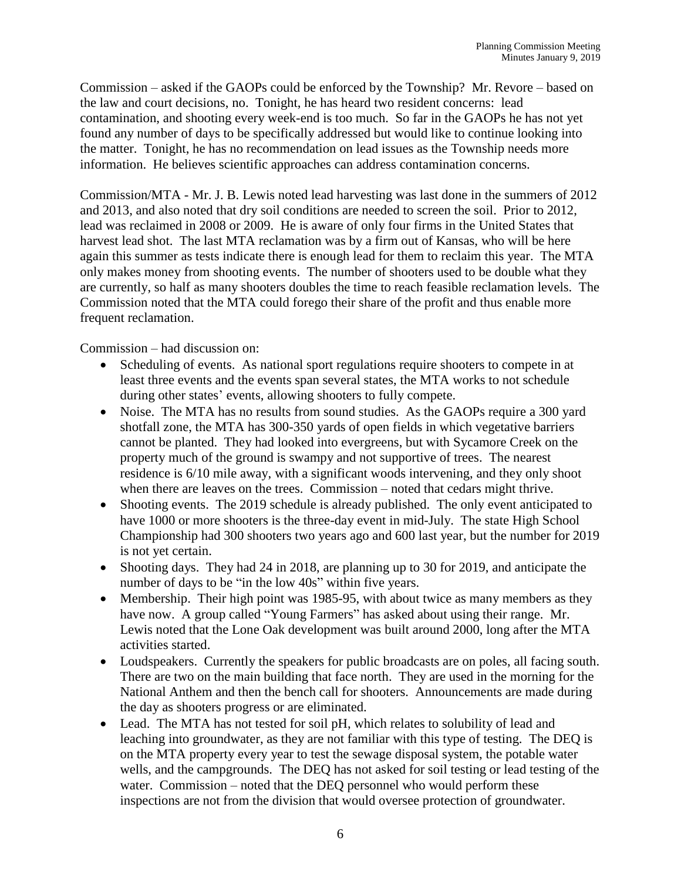Commission – asked if the GAOPs could be enforced by the Township? Mr. Revore – based on the law and court decisions, no. Tonight, he has heard two resident concerns: lead contamination, and shooting every week-end is too much. So far in the GAOPs he has not yet found any number of days to be specifically addressed but would like to continue looking into the matter. Tonight, he has no recommendation on lead issues as the Township needs more information. He believes scientific approaches can address contamination concerns.

Commission/MTA - Mr. J. B. Lewis noted lead harvesting was last done in the summers of 2012 and 2013, and also noted that dry soil conditions are needed to screen the soil. Prior to 2012, lead was reclaimed in 2008 or 2009. He is aware of only four firms in the United States that harvest lead shot. The last MTA reclamation was by a firm out of Kansas, who will be here again this summer as tests indicate there is enough lead for them to reclaim this year. The MTA only makes money from shooting events. The number of shooters used to be double what they are currently, so half as many shooters doubles the time to reach feasible reclamation levels. The Commission noted that the MTA could forego their share of the profit and thus enable more frequent reclamation.

Commission – had discussion on:

- Scheduling of events. As national sport regulations require shooters to compete in at least three events and the events span several states, the MTA works to not schedule during other states' events, allowing shooters to fully compete.
- Noise. The MTA has no results from sound studies. As the GAOPs require a 300 yard shotfall zone, the MTA has 300-350 yards of open fields in which vegetative barriers cannot be planted. They had looked into evergreens, but with Sycamore Creek on the property much of the ground is swampy and not supportive of trees. The nearest residence is 6/10 mile away, with a significant woods intervening, and they only shoot when there are leaves on the trees. Commission – noted that cedars might thrive.
- Shooting events. The 2019 schedule is already published. The only event anticipated to have 1000 or more shooters is the three-day event in mid-July. The state High School Championship had 300 shooters two years ago and 600 last year, but the number for 2019 is not yet certain.
- Shooting days. They had 24 in 2018, are planning up to 30 for 2019, and anticipate the number of days to be "in the low 40s" within five years.
- Membership. Their high point was 1985-95, with about twice as many members as they have now. A group called "Young Farmers" has asked about using their range. Mr. Lewis noted that the Lone Oak development was built around 2000, long after the MTA activities started.
- Loudspeakers. Currently the speakers for public broadcasts are on poles, all facing south. There are two on the main building that face north. They are used in the morning for the National Anthem and then the bench call for shooters. Announcements are made during the day as shooters progress or are eliminated.
- Lead. The MTA has not tested for soil pH, which relates to solubility of lead and leaching into groundwater, as they are not familiar with this type of testing. The DEQ is on the MTA property every year to test the sewage disposal system, the potable water wells, and the campgrounds. The DEQ has not asked for soil testing or lead testing of the water. Commission – noted that the DEQ personnel who would perform these inspections are not from the division that would oversee protection of groundwater.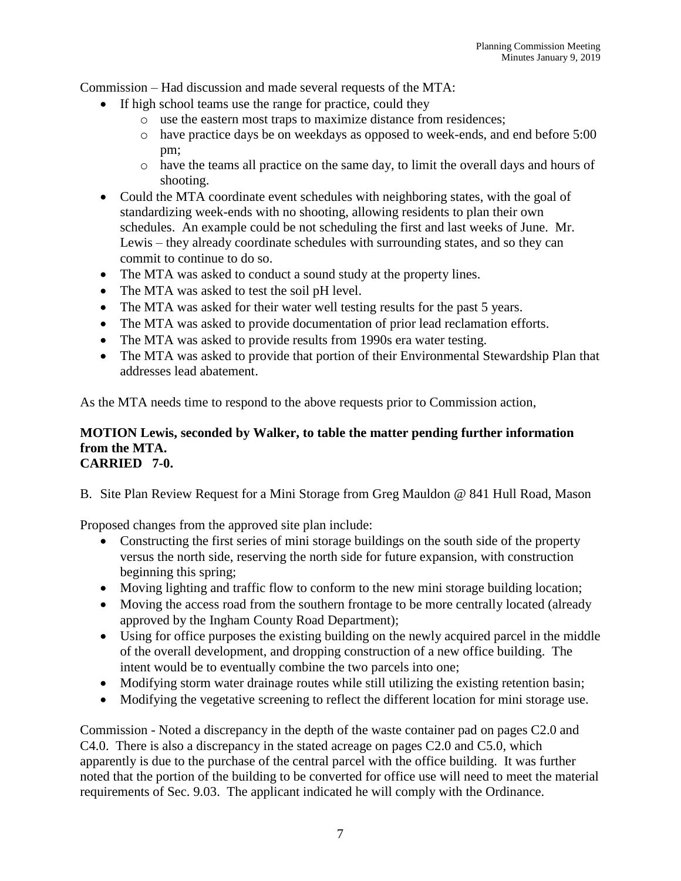Commission – Had discussion and made several requests of the MTA:

- If high school teams use the range for practice, could they
	- o use the eastern most traps to maximize distance from residences;
	- o have practice days be on weekdays as opposed to week-ends, and end before 5:00 pm;
	- o have the teams all practice on the same day, to limit the overall days and hours of shooting.
- Could the MTA coordinate event schedules with neighboring states, with the goal of standardizing week-ends with no shooting, allowing residents to plan their own schedules. An example could be not scheduling the first and last weeks of June. Mr. Lewis – they already coordinate schedules with surrounding states, and so they can commit to continue to do so.
- The MTA was asked to conduct a sound study at the property lines.
- The MTA was asked to test the soil pH level.
- The MTA was asked for their water well testing results for the past 5 years.
- The MTA was asked to provide documentation of prior lead reclamation efforts.
- The MTA was asked to provide results from 1990s era water testing.
- The MTA was asked to provide that portion of their Environmental Stewardship Plan that addresses lead abatement.

As the MTA needs time to respond to the above requests prior to Commission action,

#### **MOTION Lewis, seconded by Walker, to table the matter pending further information from the MTA. CARRIED 7-0.**

B. Site Plan Review Request for a Mini Storage from Greg Mauldon @ 841 Hull Road, Mason

Proposed changes from the approved site plan include:

- Constructing the first series of mini storage buildings on the south side of the property versus the north side, reserving the north side for future expansion, with construction beginning this spring;
- Moving lighting and traffic flow to conform to the new mini storage building location;
- Moving the access road from the southern frontage to be more centrally located (already approved by the Ingham County Road Department);
- Using for office purposes the existing building on the newly acquired parcel in the middle of the overall development, and dropping construction of a new office building. The intent would be to eventually combine the two parcels into one;
- Modifying storm water drainage routes while still utilizing the existing retention basin;
- Modifying the vegetative screening to reflect the different location for mini storage use.

Commission - Noted a discrepancy in the depth of the waste container pad on pages C2.0 and C4.0. There is also a discrepancy in the stated acreage on pages C2.0 and C5.0, which apparently is due to the purchase of the central parcel with the office building. It was further noted that the portion of the building to be converted for office use will need to meet the material requirements of Sec. 9.03. The applicant indicated he will comply with the Ordinance.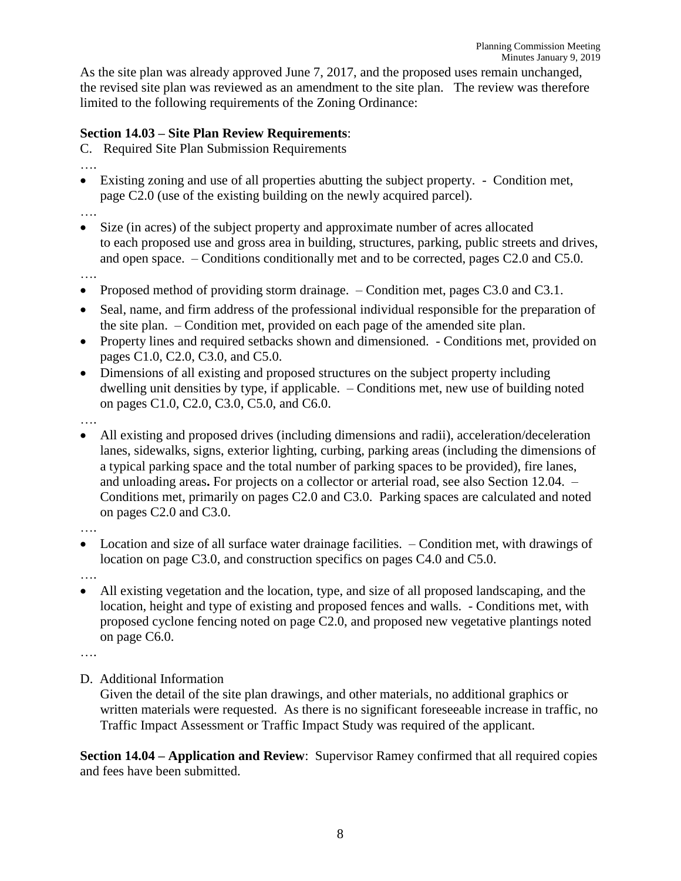As the site plan was already approved June 7, 2017, and the proposed uses remain unchanged, the revised site plan was reviewed as an amendment to the site plan. The review was therefore limited to the following requirements of the Zoning Ordinance:

# **Section 14.03 – Site Plan Review Requirements**:

C. Required Site Plan Submission Requirements

- ….
- Existing zoning and use of all properties abutting the subject property. Condition met, page C2.0 (use of the existing building on the newly acquired parcel).
- ….
- Size (in acres) of the subject property and approximate number of acres allocated to each proposed use and gross area in building, structures, parking, public streets and drives, and open space. – Conditions conditionally met and to be corrected, pages C2.0 and C5.0.
- ….
- Proposed method of providing storm drainage. Condition met, pages C3.0 and C3.1.
- Seal, name, and firm address of the professional individual responsible for the preparation of the site plan. – Condition met, provided on each page of the amended site plan.
- Property lines and required setbacks shown and dimensioned. Conditions met, provided on pages C1.0, C2.0, C3.0, and C5.0.
- Dimensions of all existing and proposed structures on the subject property including dwelling unit densities by type, if applicable. – Conditions met, new use of building noted on pages C1.0, C2.0, C3.0, C5.0, and C6.0.

….

• All existing and proposed drives (including dimensions and radii), acceleration/deceleration lanes, sidewalks, signs, exterior lighting, curbing, parking areas (including the dimensions of a typical parking space and the total number of parking spaces to be provided), fire lanes, and unloading areas**.** For projects on a collector or arterial road, see also Section 12.04. – Conditions met, primarily on pages C2.0 and C3.0. Parking spaces are calculated and noted on pages C2.0 and C3.0.

….

• Location and size of all surface water drainage facilities. – Condition met, with drawings of location on page C3.0, and construction specifics on pages C4.0 and C5.0.

….

• All existing vegetation and the location, type, and size of all proposed landscaping, and the location, height and type of existing and proposed fences and walls. - Conditions met, with proposed cyclone fencing noted on page C2.0, and proposed new vegetative plantings noted on page C6.0.

….

D. Additional Information

Given the detail of the site plan drawings, and other materials, no additional graphics or written materials were requested. As there is no significant foreseeable increase in traffic, no Traffic Impact Assessment or Traffic Impact Study was required of the applicant.

**Section 14.04 – Application and Review**: Supervisor Ramey confirmed that all required copies and fees have been submitted.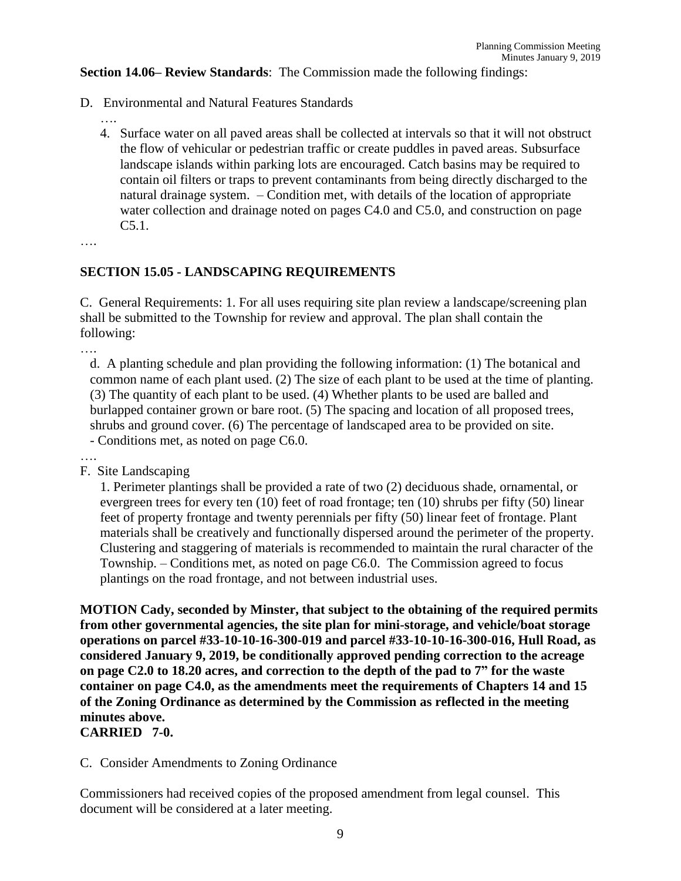**Section 14.06– Review Standards**: The Commission made the following findings:

- D. Environmental and Natural Features Standards
	- ….
	- 4. Surface water on all paved areas shall be collected at intervals so that it will not obstruct the flow of vehicular or pedestrian traffic or create puddles in paved areas. Subsurface landscape islands within parking lots are encouraged. Catch basins may be required to contain oil filters or traps to prevent contaminants from being directly discharged to the natural drainage system. – Condition met, with details of the location of appropriate water collection and drainage noted on pages C4.0 and C5.0, and construction on page C5.1.

….

### **SECTION 15.05 - LANDSCAPING REQUIREMENTS**

C. General Requirements: 1. For all uses requiring site plan review a landscape/screening plan shall be submitted to the Township for review and approval. The plan shall contain the following:

….

d. A planting schedule and plan providing the following information: (1) The botanical and common name of each plant used. (2) The size of each plant to be used at the time of planting. (3) The quantity of each plant to be used. (4) Whether plants to be used are balled and burlapped container grown or bare root. (5) The spacing and location of all proposed trees, shrubs and ground cover. (6) The percentage of landscaped area to be provided on site. - Conditions met, as noted on page C6.0.

….

F. Site Landscaping

1. Perimeter plantings shall be provided a rate of two (2) deciduous shade, ornamental, or evergreen trees for every ten (10) feet of road frontage; ten (10) shrubs per fifty (50) linear feet of property frontage and twenty perennials per fifty (50) linear feet of frontage. Plant materials shall be creatively and functionally dispersed around the perimeter of the property. Clustering and staggering of materials is recommended to maintain the rural character of the Township. – Conditions met, as noted on page C6.0. The Commission agreed to focus plantings on the road frontage, and not between industrial uses.

**MOTION Cady, seconded by Minster, that subject to the obtaining of the required permits from other governmental agencies, the site plan for mini-storage, and vehicle/boat storage operations on parcel #33-10-10-16-300-019 and parcel #33-10-10-16-300-016, Hull Road, as considered January 9, 2019, be conditionally approved pending correction to the acreage on page C2.0 to 18.20 acres, and correction to the depth of the pad to 7" for the waste container on page C4.0, as the amendments meet the requirements of Chapters 14 and 15 of the Zoning Ordinance as determined by the Commission as reflected in the meeting minutes above.**

### **CARRIED 7-0.**

#### C. Consider Amendments to Zoning Ordinance

Commissioners had received copies of the proposed amendment from legal counsel. This document will be considered at a later meeting.